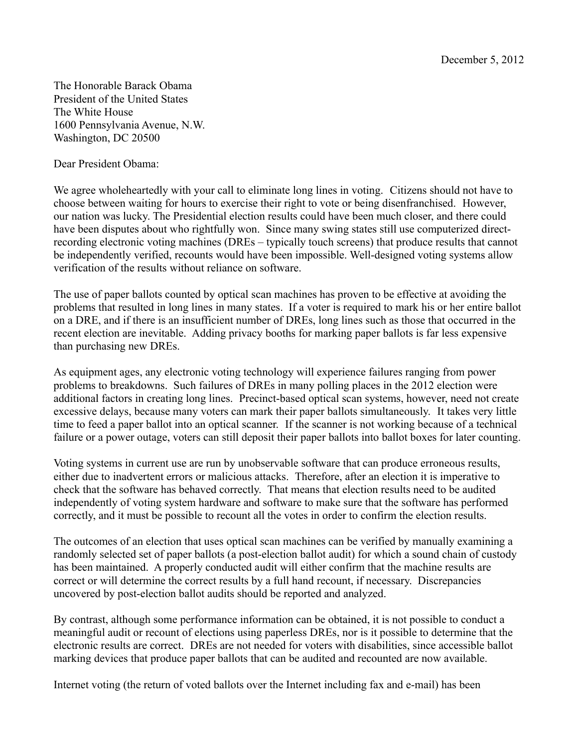The Honorable Barack Obama President of the United States The White House 1600 Pennsylvania Avenue, N.W. Washington, DC 20500

Dear President Obama:

We agree wholeheartedly with your call to eliminate long lines in voting. Citizens should not have to choose between waiting for hours to exercise their right to vote or being disenfranchised. However, our nation was lucky. The Presidential election results could have been much closer, and there could have been disputes about who rightfully won. Since many swing states still use computerized directrecording electronic voting machines (DREs – typically touch screens) that produce results that cannot be independently verified, recounts would have been impossible. Well-designed voting systems allow verification of the results without reliance on software.

The use of paper ballots counted by optical scan machines has proven to be effective at avoiding the problems that resulted in long lines in many states. If a voter is required to mark his or her entire ballot on a DRE, and if there is an insufficient number of DREs, long lines such as those that occurred in the recent election are inevitable. Adding privacy booths for marking paper ballots is far less expensive than purchasing new DREs.

As equipment ages, any electronic voting technology will experience failures ranging from power problems to breakdowns. Such failures of DREs in many polling places in the 2012 election were additional factors in creating long lines. Precinct-based optical scan systems, however, need not create excessive delays, because many voters can mark their paper ballots simultaneously. It takes very little time to feed a paper ballot into an optical scanner. If the scanner is not working because of a technical failure or a power outage, voters can still deposit their paper ballots into ballot boxes for later counting.

Voting systems in current use are run by unobservable software that can produce erroneous results, either due to inadvertent errors or malicious attacks. Therefore, after an election it is imperative to check that the software has behaved correctly. That means that election results need to be audited independently of voting system hardware and software to make sure that the software has performed correctly, and it must be possible to recount all the votes in order to confirm the election results.

The outcomes of an election that uses optical scan machines can be verified by manually examining a randomly selected set of paper ballots (a post-election ballot audit) for which a sound chain of custody has been maintained. A properly conducted audit will either confirm that the machine results are correct or will determine the correct results by a full hand recount, if necessary. Discrepancies uncovered by post-election ballot audits should be reported and analyzed.

By contrast, although some performance information can be obtained, it is not possible to conduct a meaningful audit or recount of elections using paperless DREs, nor is it possible to determine that the electronic results are correct. DREs are not needed for voters with disabilities, since accessible ballot marking devices that produce paper ballots that can be audited and recounted are now available.

Internet voting (the return of voted ballots over the Internet including fax and e-mail) has been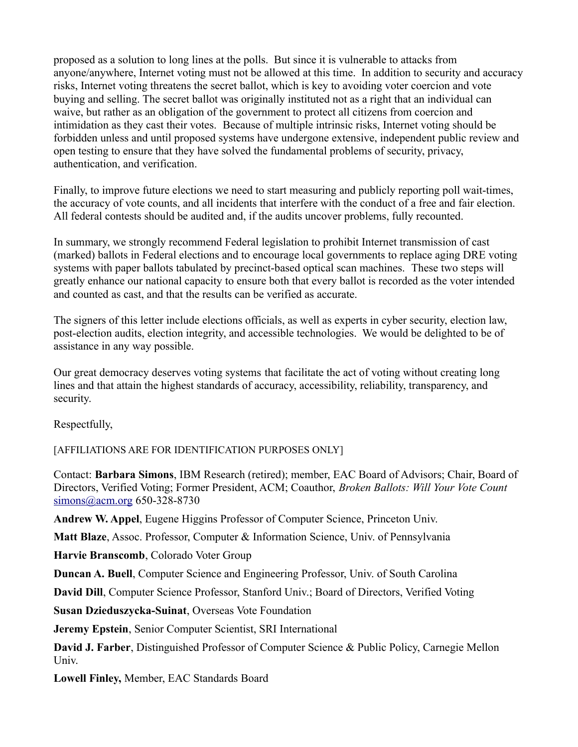proposed as a solution to long lines at the polls. But since it is vulnerable to attacks from anyone/anywhere, Internet voting must not be allowed at this time. In addition to security and accuracy risks, Internet voting threatens the secret ballot, which is key to avoiding voter coercion and vote buying and selling. The secret ballot was originally instituted not as a right that an individual can waive, but rather as an obligation of the government to protect all citizens from coercion and intimidation as they cast their votes. Because of multiple intrinsic risks, Internet voting should be forbidden unless and until proposed systems have undergone extensive, independent public review and open testing to ensure that they have solved the fundamental problems of security, privacy, authentication, and verification.

Finally, to improve future elections we need to start measuring and publicly reporting poll wait-times, the accuracy of vote counts, and all incidents that interfere with the conduct of a free and fair election. All federal contests should be audited and, if the audits uncover problems, fully recounted.

In summary, we strongly recommend Federal legislation to prohibit Internet transmission of cast (marked) ballots in Federal elections and to encourage local governments to replace aging DRE voting systems with paper ballots tabulated by precinct-based optical scan machines. These two steps will greatly enhance our national capacity to ensure both that every ballot is recorded as the voter intended and counted as cast, and that the results can be verified as accurate.

The signers of this letter include elections officials, as well as experts in cyber security, election law, post-election audits, election integrity, and accessible technologies. We would be delighted to be of assistance in any way possible.

Our great democracy deserves voting systems that facilitate the act of voting without creating long lines and that attain the highest standards of accuracy, accessibility, reliability, transparency, and security.

Respectfully,

[AFFILIATIONS ARE FOR IDENTIFICATION PURPOSES ONLY]

Contact: **Barbara Simons**, IBM Research (retired); member, EAC Board of Advisors; Chair, Board of Directors, Verified Voting; Former President, ACM; Coauthor, *Broken Ballots: Will Your Vote Count* [simons@acm.org](mailto:simons@acm.org) 650-328-8730

**Andrew W. Appel**, Eugene Higgins Professor of Computer Science, Princeton Univ.

**Matt Blaze**, Assoc. Professor, Computer & Information Science, Univ. of Pennsylvania

**Harvie Branscomb**, Colorado Voter Group

**Duncan A. Buell**, Computer Science and Engineering Professor, Univ. of South Carolina

**David Dill**, Computer Science Professor, Stanford Univ.; Board of Directors, Verified Voting

**Susan Dzieduszycka-Suinat**, Overseas Vote Foundation

**Jeremy Epstein**, Senior Computer Scientist, SRI International

**David J. Farber**, Distinguished Professor of Computer Science & Public Policy, Carnegie Mellon Univ.

**Lowell Finley,** Member, EAC Standards Board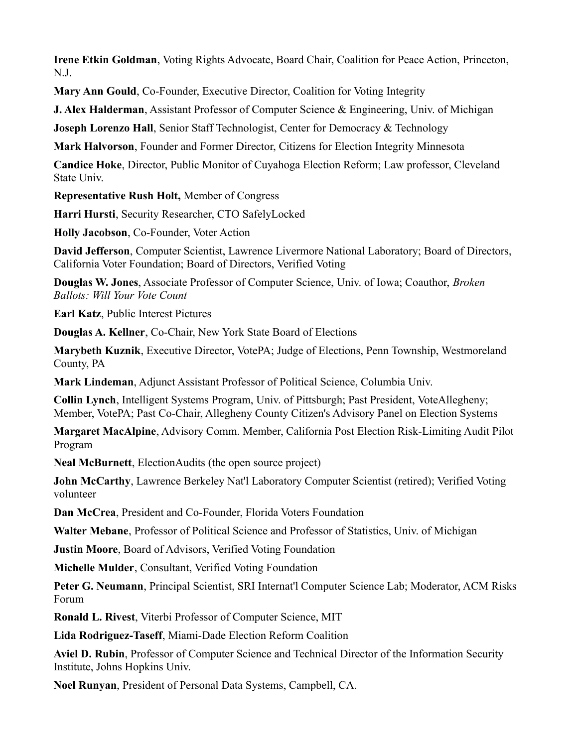**Irene Etkin Goldman**, Voting Rights Advocate, Board Chair, Coalition for Peace Action, Princeton, N.J.

**Mary Ann Gould**, Co-Founder, Executive Director, Coalition for Voting Integrity

**J. Alex Halderman**, Assistant Professor of Computer Science & Engineering, Univ. of Michigan

**Joseph Lorenzo Hall**, Senior Staff Technologist, Center for Democracy & Technology

**Mark Halvorson**, Founder and Former Director, Citizens for Election Integrity Minnesota

**Candice Hoke**, Director, Public Monitor of Cuyahoga Election Reform; Law professor, Cleveland State Univ.

**Representative Rush Holt,** Member of Congress

**Harri Hursti**, Security Researcher, CTO SafelyLocked

**Holly Jacobson**, Co-Founder, Voter Action

**David Jefferson**, Computer Scientist, Lawrence Livermore National Laboratory; Board of Directors, California Voter Foundation; Board of Directors, Verified Voting

**Douglas W. Jones**, Associate Professor of Computer Science, Univ. of Iowa; Coauthor, *Broken Ballots: Will Your Vote Count*

**Earl Katz**, Public Interest Pictures

**Douglas A. Kellner**, Co-Chair, New York State Board of Elections

**Marybeth Kuznik**, Executive Director, VotePA; Judge of Elections, Penn Township, Westmoreland County, PA

**Mark Lindeman**, Adjunct Assistant Professor of Political Science, Columbia Univ.

**Collin Lynch**, Intelligent Systems Program, Univ. of Pittsburgh; Past President, VoteAllegheny; Member, VotePA; Past Co-Chair, Allegheny County Citizen's Advisory Panel on Election Systems

**Margaret MacAlpine**, Advisory Comm. Member, California Post Election Risk-Limiting Audit Pilot Program

**Neal McBurnett**, ElectionAudits (the open source project)

**John McCarthy**, Lawrence Berkeley Nat'l Laboratory Computer Scientist (retired); Verified Voting volunteer

**Dan McCrea**, President and Co-Founder, Florida Voters Foundation

**Walter Mebane**, Professor of Political Science and Professor of Statistics, Univ. of Michigan

**Justin Moore**, Board of Advisors, Verified Voting Foundation

**Michelle Mulder**, Consultant, Verified Voting Foundation

**Peter G. Neumann**, Principal Scientist, SRI Internat'l Computer Science Lab; Moderator, ACM Risks Forum

**Ronald L. Rivest**, Viterbi Professor of Computer Science, MIT

**Lida Rodriguez-Taseff**, Miami-Dade Election Reform Coalition

**Aviel D. Rubin**, Professor of Computer Science and Technical Director of the Information Security Institute, Johns Hopkins Univ.

**Noel Runyan**, President of Personal Data Systems, Campbell, CA.